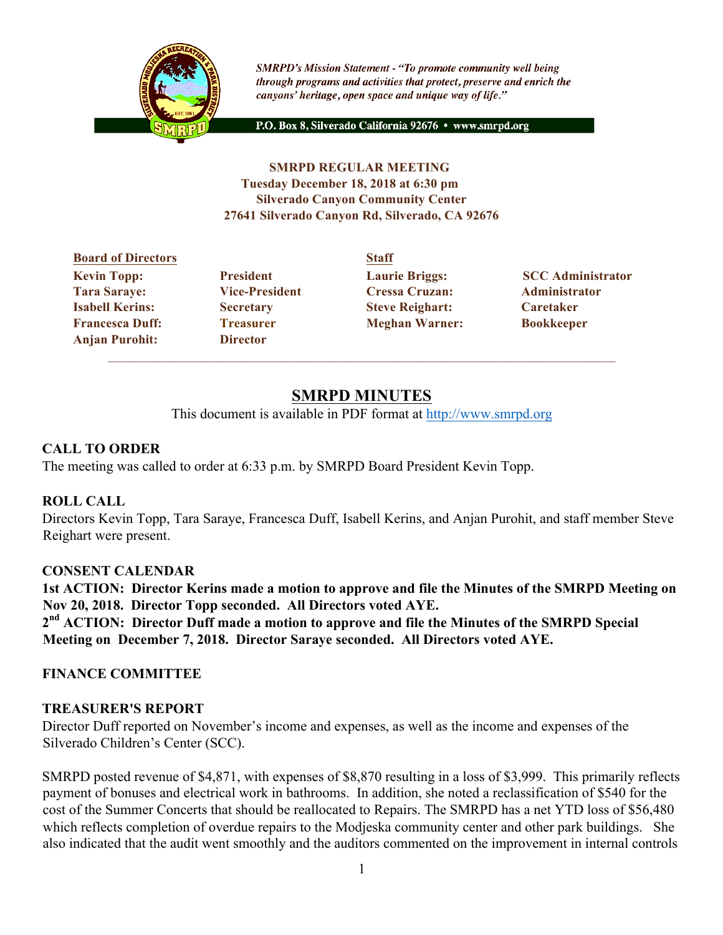

**SMRPD's Mission Statement - "To promote community well being** through programs and activities that protect, preserve and enrich the canyons' heritage, open space and unique way of life."

P.O. Box 8, Silverado California 92676 · www.smrpd.org

#### **SMRPD REGULAR MEETING Tuesday December 18, 2018 at 6:30 pm Silverado Canyon Community Center 27641 Silverado Canyon Rd, Silverado, CA 92676**

# **Board of Directors Staff Tara Saraye: Vice-President Cressa Cruzan: Administrator Isabell Kerins: Secretary Steve Reighart: Caretaker Francesca Duff: Treasurer Meghan Warner: Bookkeeper Anjan Purohit: Director**

**Kevin Topp:** President Laurie Briggs: SCC Administrator

# **SMRPD MINUTES**

This document is available in PDF format at http://www.smrpd.org

## **CALL TO ORDER**

The meeting was called to order at 6:33 p.m. by SMRPD Board President Kevin Topp.

## **ROLL CALL**

Directors Kevin Topp, Tara Saraye, Francesca Duff, Isabell Kerins, and Anjan Purohit, and staff member Steve Reighart were present.

## **CONSENT CALENDAR**

**1st ACTION: Director Kerins made a motion to approve and file the Minutes of the SMRPD Meeting on Nov 20, 2018. Director Topp seconded. All Directors voted AYE. 2nd ACTION: Director Duff made a motion to approve and file the Minutes of the SMRPD Special Meeting on December 7, 2018. Director Saraye seconded. All Directors voted AYE.**

## **FINANCE COMMITTEE**

## **TREASURER'S REPORT**

Director Duff reported on November's income and expenses, as well as the income and expenses of the Silverado Children's Center (SCC).

SMRPD posted revenue of \$4,871, with expenses of \$8,870 resulting in a loss of \$3,999. This primarily reflects payment of bonuses and electrical work in bathrooms. In addition, she noted a reclassification of \$540 for the cost of the Summer Concerts that should be reallocated to Repairs. The SMRPD has a net YTD loss of \$56,480 which reflects completion of overdue repairs to the Modjeska community center and other park buildings. She also indicated that the audit went smoothly and the auditors commented on the improvement in internal controls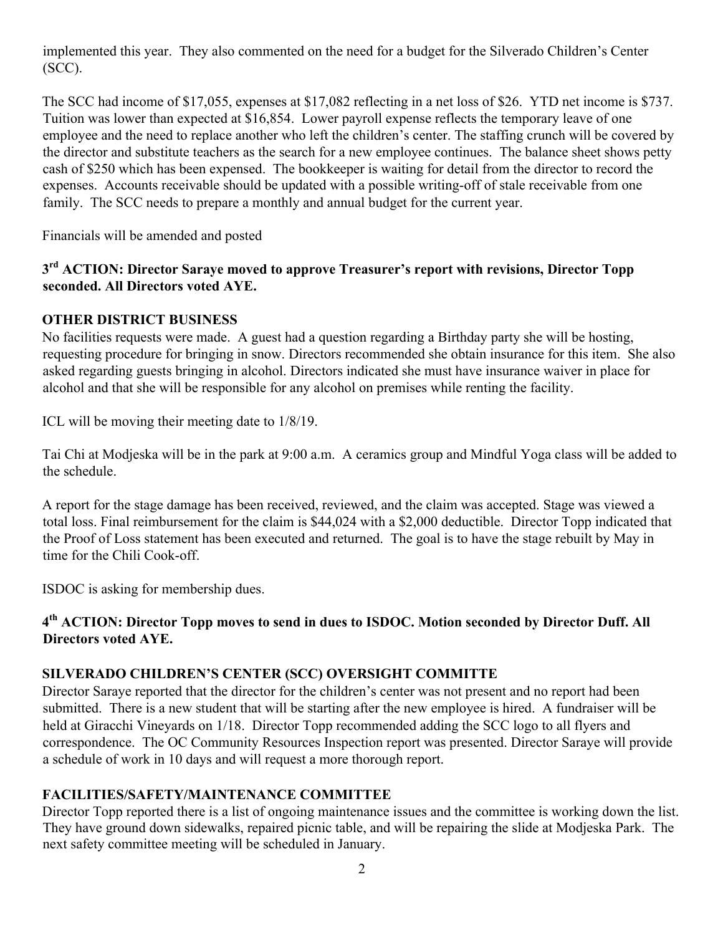implemented this year. They also commented on the need for a budget for the Silverado Children's Center (SCC).

The SCC had income of \$17,055, expenses at \$17,082 reflecting in a net loss of \$26. YTD net income is \$737. Tuition was lower than expected at \$16,854. Lower payroll expense reflects the temporary leave of one employee and the need to replace another who left the children's center. The staffing crunch will be covered by the director and substitute teachers as the search for a new employee continues. The balance sheet shows petty cash of \$250 which has been expensed. The bookkeeper is waiting for detail from the director to record the expenses. Accounts receivable should be updated with a possible writing-off of stale receivable from one family. The SCC needs to prepare a monthly and annual budget for the current year.

Financials will be amended and posted

## **3rd ACTION: Director Saraye moved to approve Treasurer's report with revisions, Director Topp seconded. All Directors voted AYE.**

## **OTHER DISTRICT BUSINESS**

No facilities requests were made. A guest had a question regarding a Birthday party she will be hosting, requesting procedure for bringing in snow. Directors recommended she obtain insurance for this item. She also asked regarding guests bringing in alcohol. Directors indicated she must have insurance waiver in place for alcohol and that she will be responsible for any alcohol on premises while renting the facility.

ICL will be moving their meeting date to 1/8/19.

Tai Chi at Modjeska will be in the park at 9:00 a.m. A ceramics group and Mindful Yoga class will be added to the schedule.

A report for the stage damage has been received, reviewed, and the claim was accepted. Stage was viewed a total loss. Final reimbursement for the claim is \$44,024 with a \$2,000 deductible. Director Topp indicated that the Proof of Loss statement has been executed and returned. The goal is to have the stage rebuilt by May in time for the Chili Cook-off.

ISDOC is asking for membership dues.

## **4th ACTION: Director Topp moves to send in dues to ISDOC. Motion seconded by Director Duff. All Directors voted AYE.**

## **SILVERADO CHILDREN'S CENTER (SCC) OVERSIGHT COMMITTE**

Director Saraye reported that the director for the children's center was not present and no report had been submitted. There is a new student that will be starting after the new employee is hired. A fundraiser will be held at Giracchi Vineyards on 1/18. Director Topp recommended adding the SCC logo to all flyers and correspondence. The OC Community Resources Inspection report was presented. Director Saraye will provide a schedule of work in 10 days and will request a more thorough report.

## **FACILITIES/SAFETY/MAINTENANCE COMMITTEE**

Director Topp reported there is a list of ongoing maintenance issues and the committee is working down the list. They have ground down sidewalks, repaired picnic table, and will be repairing the slide at Modjeska Park. The next safety committee meeting will be scheduled in January.